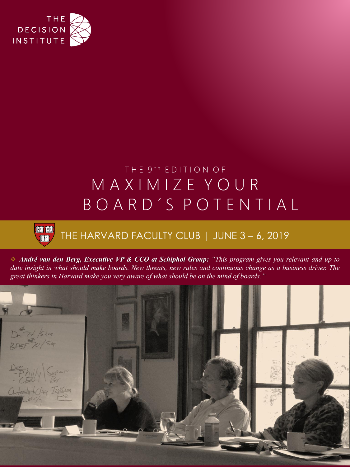

# THE 9<sup>th</sup> EDITION OF M A X I M I Z E Y O U R B O A R D ´ S P O T E N T I A L

### **Joel: 1801:**  $\|$ TAS $\|$

## THE HARVARD FACULTY CLUB | JUNE 3 - 6, 2019

André van den Berg, Executive VP & CCO at Schiphol Group: "This program gives you relevant and up to date insight in what should make boards. New threats, new rules and continuous change as a business driver. The *great thinkers in Harvard make you very aware of what should be on the mind of boards."*

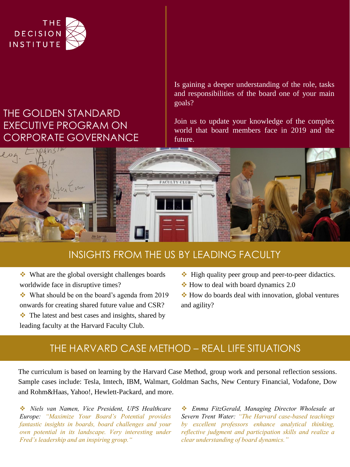

## THE GOLDEN STANDARD EXECUTIVE PROGRAM ON CORPORATE GOVERNANCE

Is gaining a deeper understanding of the role, tasks and responsibilities of the board one of your main goals?

Join us to update your knowledge of the complex world that board members face in 2019 and the future.



### INSIGHTS FROM THE US BY LEADING FACULTY

❖ What are the global oversight challenges boards worldwide face in disruptive times?

❖ What should be on the board's agenda from 2019 onwards for creating shared future value and CSR?

- ❖ The latest and best cases and insights, shared by leading faculty at the Harvard Faculty Club.
- ❖ High quality peer group and peer-to-peer didactics.
- $\div$  How to deal with board dynamics 2.0

❖ How do boards deal with innovation, global ventures and agility?

## THE HARVARD CASE METHOD – REAL LIFE SITUATIONS

The curriculum is based on learning by the Harvard Case Method, group work and personal reflection sessions. Sample cases include: Tesla, Imtech, IBM, Walmart, Goldman Sachs, New Century Financial, Vodafone, Dow and Rohm&Haas, Yahoo!, Hewlett-Packard, and more.

❖ *Niels van Namen, Vice President, UPS Healthcare Europe: "Maximize Your Board's Potential provides fantastic insights in boards, board challenges and your own potential in its landscape. Very interesting under Fred's leadership and an inspiring group."*

❖ *Emma FitzGerald, Managing Director Wholesale at Severn Trent Water: "The Harvard case-based teachings by excellent professors enhance analytical thinking, reflective judgment and participation skills and realize a clear understanding of board dynamics."*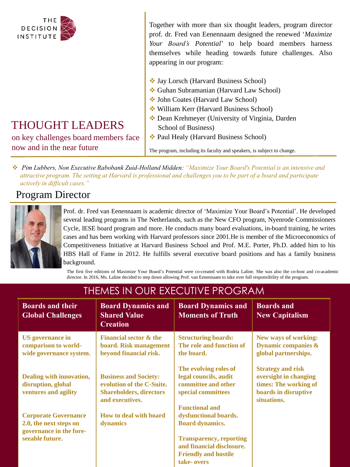

#### Together with more than six thought leaders, program director prof. dr. Fred van Eenennaam designed the renewed '*Maximize Your Board's Potential*' to help board members harness themselves while heading towards future challenges. Also appearing in our program:

- ❖ Jay Lorsch (Harvard Business School)
- ❖ Guhan Subramanian (Harvard Law School)
- ❖ John Coates (Harvard Law School)
- ❖ William Kerr (Harvard Business School)
- ❖ Dean Krehmeyer (University of Virginia, Darden School of Business)
- ❖ Paul Healy (Harvard Business School)

The program, including its faculty and speakers, is subject to change.

❖ *Pim Lubbers, Non Executive Rabobank Zuid-Holland Midden: "Maximize Your Board's Potential is an intensive and attractive program. The setting at Harvard is professional and challenges you to be part of a board and participate actively in difficult cases."*

## Program Director



Prof. dr. Fred van Eenennaam is academic director of 'Maximize Your Board's Potential'. He developed several leading programs in The Netherlands, such as the New CFO program, Nyenrode Commissioners Cycle, IESE board program and more. He conducts many board evaluations, in-board training, he writes cases and has been working with Harvard professors since 2001.He is member of the Microeconomics of Competitiveness Initiative at Harvard Business School and Prof. M.E. Porter, Ph.D. added him to his HBS Hall of Fame in 2012. He fulfills several executive board positions and has a family business background.

The first five editions of Maximize Your Board's Potential were co-created with Rodria Laline. She was also the co-host and co-academic director. In 2016, Ms. Laline decided to step down allowing Prof. van Eenennaam to take over full responsibility of the program.

| <b>Boards and their</b><br><b>Global Challenges</b>                              | <b>Board Dynamics and</b><br><b>Shared Value</b><br><b>Creation</b>                                            | <b>Board Dynamics and</b><br><b>Moments of Truth</b>                                                                 | <b>Boards and</b><br><b>New Capitalism</b>                                                                        |
|----------------------------------------------------------------------------------|----------------------------------------------------------------------------------------------------------------|----------------------------------------------------------------------------------------------------------------------|-------------------------------------------------------------------------------------------------------------------|
| <b>US</b> governance in<br>comparison to world-<br>wide governance system.       | <b>Financial sector &amp; the</b><br>board. Risk management<br>beyond financial risk.                          | <b>Structuring boards:</b><br>The role and function of<br>the board.                                                 | <b>New ways of working:</b><br><b>Dynamic companies &amp;</b><br>global partnerships.                             |
| Dealing with innovation,<br>disruption, global<br>ventures and agility           | <b>Business and Society:</b><br>evolution of the C-Suite.<br><b>Shareholders, directors</b><br>and executives. | The evolving roles of<br>legal councils, audit<br>committee and other<br>special committees<br><b>Functional and</b> | <b>Strategy and risk</b><br>oversight in changing<br>times: The working of<br>boards in disruptive<br>situations. |
| <b>Corporate Governance</b><br>2.0, the next steps on<br>governance in the fore- | How to deal with board<br>dynamics                                                                             | dysfunctional boards.<br><b>Board dynamics.</b>                                                                      |                                                                                                                   |
| seeable future.                                                                  |                                                                                                                | <b>Transparency, reporting</b><br>and financial disclosure.<br><b>Friendly and hostile</b><br>take- overs            |                                                                                                                   |

## THEMES IN OUR EXECUTIVE PROGRAM

THOUGHT LEADERS

on key challenges board members face now and in the near future